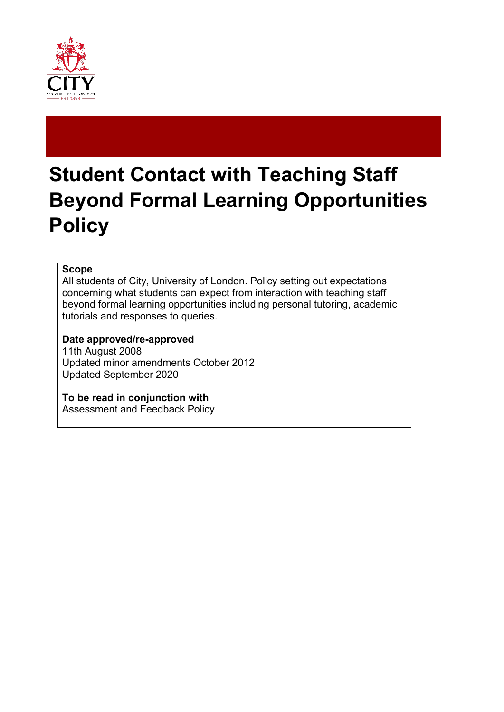

# **Student Contact with Teaching Staff Beyond Formal Learning Opportunities Policy**

#### **Scope**

All students of City, University of London. Policy setting out expectations concerning what students can expect from interaction with teaching staff beyond formal learning opportunities including personal tutoring, academic tutorials and responses to queries.

### **Date approved/re-approved**

11th August 2008 Updated minor amendments October 2012 Updated September 2020

**To be read in conjunction with** Assessment and Feedback Policy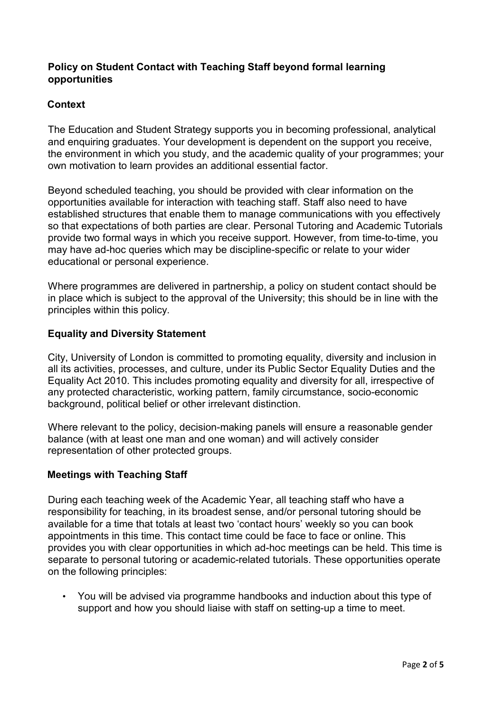# **Policy on Student Contact with Teaching Staff beyond formal learning opportunities**

# **Context**

The Education and Student Strategy supports you in becoming professional, analytical and enquiring graduates. Your development is dependent on the support you receive, the environment in which you study, and the academic quality of your programmes; your own motivation to learn provides an additional essential factor.

Beyond scheduled teaching, you should be provided with clear information on the opportunities available for interaction with teaching staff. Staff also need to have established structures that enable them to manage communications with you effectively so that expectations of both parties are clear. Personal Tutoring and Academic Tutorials provide two formal ways in which you receive support. However, from time-to-time, you may have ad-hoc queries which may be discipline-specific or relate to your wider educational or personal experience.

Where programmes are delivered in partnership, a policy on student contact should be in place which is subject to the approval of the University; this should be in line with the principles within this policy.

### **Equality and Diversity Statement**

City, University of London is committed to promoting equality, diversity and inclusion in all its activities, processes, and culture, under its Public Sector Equality Duties and the Equality Act 2010. This includes promoting equality and diversity for all, irrespective of any protected characteristic, working pattern, family circumstance, socio-economic background, political belief or other irrelevant distinction.

Where relevant to the policy, decision-making panels will ensure a reasonable gender balance (with at least one man and one woman) and will actively consider representation of other protected groups.

### **Meetings with Teaching Staff**

During each teaching week of the Academic Year, all teaching staff who have a responsibility for teaching, in its broadest sense, and/or personal tutoring should be available for a time that totals at least two 'contact hours' weekly so you can book appointments in this time. This contact time could be face to face or online. This provides you with clear opportunities in which ad-hoc meetings can be held. This time is separate to personal tutoring or academic-related tutorials. These opportunities operate on the following principles:

• You will be advised via programme handbooks and induction about this type of support and how you should liaise with staff on setting-up a time to meet.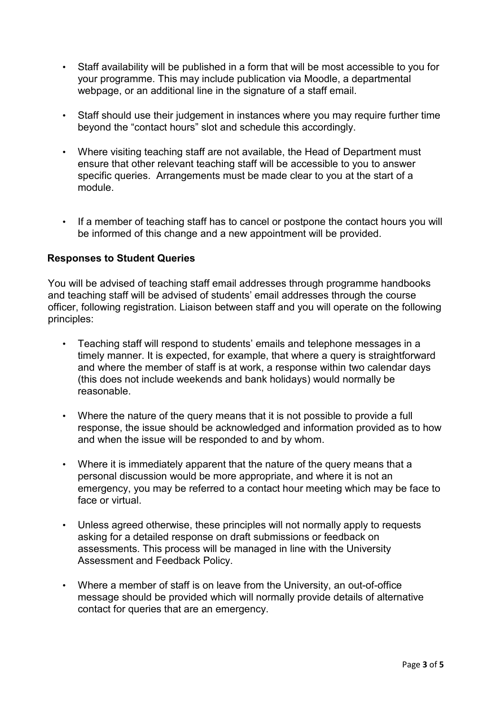- Staff availability will be published in a form that will be most accessible to you for your programme. This may include publication via Moodle, a departmental webpage, or an additional line in the signature of a staff email.
- Staff should use their judgement in instances where you may require further time beyond the "contact hours" slot and schedule this accordingly.
- Where visiting teaching staff are not available, the Head of Department must ensure that other relevant teaching staff will be accessible to you to answer specific queries. Arrangements must be made clear to you at the start of a module.
- If a member of teaching staff has to cancel or postpone the contact hours you will be informed of this change and a new appointment will be provided.

# **Responses to Student Queries**

You will be advised of teaching staff email addresses through programme handbooks and teaching staff will be advised of students' email addresses through the course officer, following registration. Liaison between staff and you will operate on the following principles:

- Teaching staff will respond to students' emails and telephone messages in a timely manner. It is expected, for example, that where a query is straightforward and where the member of staff is at work, a response within two calendar days (this does not include weekends and bank holidays) would normally be reasonable.
- Where the nature of the query means that it is not possible to provide a full response, the issue should be acknowledged and information provided as to how and when the issue will be responded to and by whom.
- Where it is immediately apparent that the nature of the query means that a personal discussion would be more appropriate, and where it is not an emergency, you may be referred to a contact hour meeting which may be face to face or virtual.
- Unless agreed otherwise, these principles will not normally apply to requests asking for a detailed response on draft submissions or feedback on assessments. This process will be managed in line with the University Assessment and Feedback Policy.
- Where a member of staff is on leave from the University, an out-of-office message should be provided which will normally provide details of alternative contact for queries that are an emergency.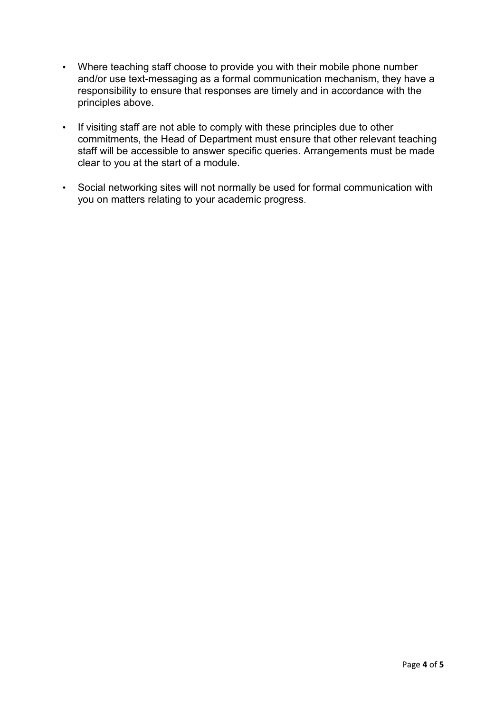- Where teaching staff choose to provide you with their mobile phone number and/or use text-messaging as a formal communication mechanism, they have a responsibility to ensure that responses are timely and in accordance with the principles above.
- If visiting staff are not able to comply with these principles due to other commitments, the Head of Department must ensure that other relevant teaching staff will be accessible to answer specific queries. Arrangements must be made clear to you at the start of a module.
- Social networking sites will not normally be used for formal communication with you on matters relating to your academic progress.